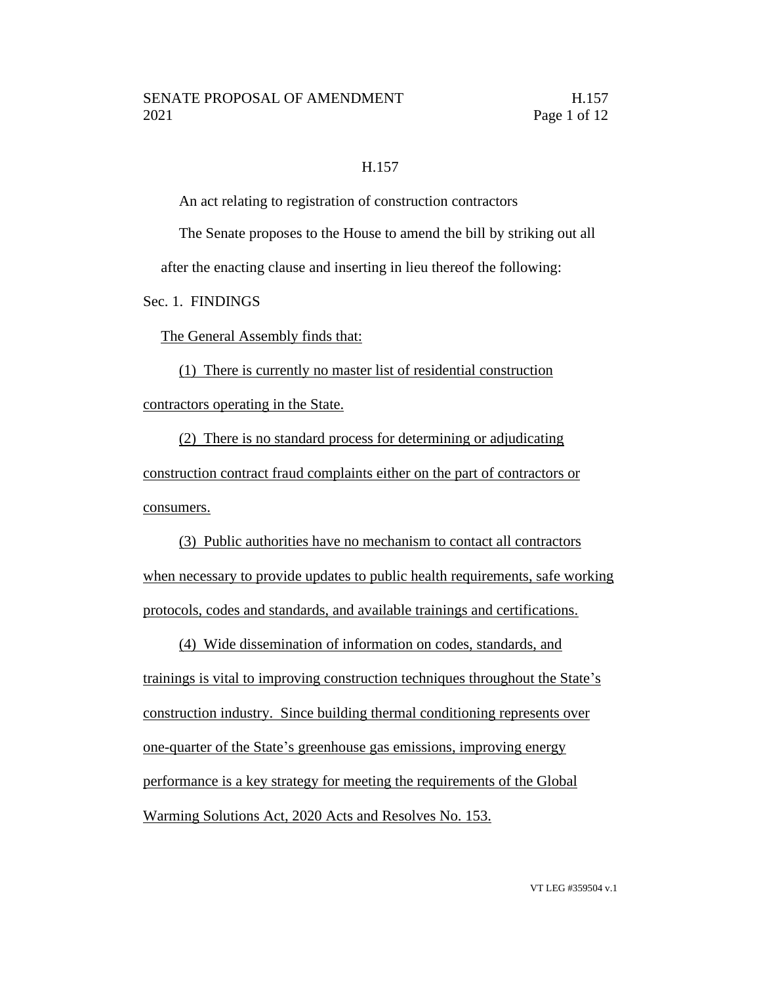### H.157

An act relating to registration of construction contractors

The Senate proposes to the House to amend the bill by striking out all

after the enacting clause and inserting in lieu thereof the following:

Sec. 1. FINDINGS

The General Assembly finds that:

(1) There is currently no master list of residential construction contractors operating in the State.

(2) There is no standard process for determining or adjudicating construction contract fraud complaints either on the part of contractors or consumers.

(3) Public authorities have no mechanism to contact all contractors when necessary to provide updates to public health requirements, safe working protocols, codes and standards, and available trainings and certifications.

(4) Wide dissemination of information on codes, standards, and trainings is vital to improving construction techniques throughout the State's construction industry. Since building thermal conditioning represents over one-quarter of the State's greenhouse gas emissions, improving energy performance is a key strategy for meeting the requirements of the Global Warming Solutions Act, 2020 Acts and Resolves No. 153.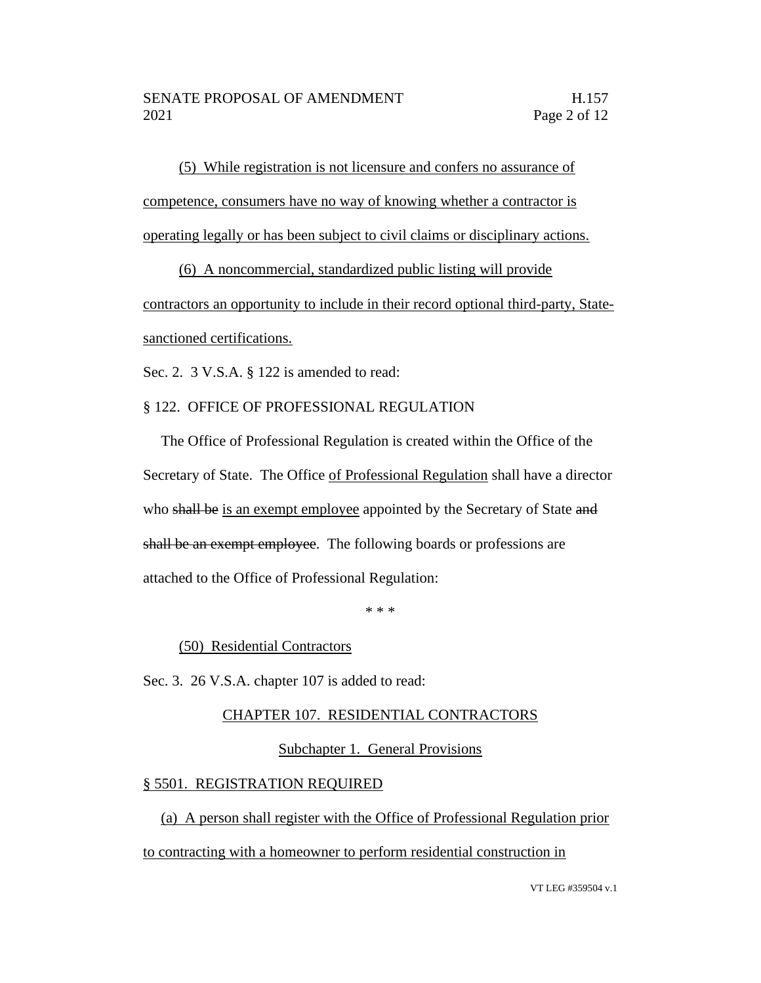(5) While registration is not licensure and confers no assurance of competence, consumers have no way of knowing whether a contractor is operating legally or has been subject to civil claims or disciplinary actions.

(6) A noncommercial, standardized public listing will provide

contractors an opportunity to include in their record optional third-party, Statesanctioned certifications.

Sec. 2. 3 V.S.A. § 122 is amended to read:

## § 122. OFFICE OF PROFESSIONAL REGULATION

The Office of Professional Regulation is created within the Office of the Secretary of State. The Office of Professional Regulation shall have a director who shall be is an exempt employee appointed by the Secretary of State and shall be an exempt employee. The following boards or professions are attached to the Office of Professional Regulation:

\* \* \*

(50) Residential Contractors

Sec. 3. 26 V.S.A. chapter 107 is added to read:

## CHAPTER 107. RESIDENTIAL CONTRACTORS

### Subchapter 1. General Provisions

## § 5501. REGISTRATION REQUIRED

(a) A person shall register with the Office of Professional Regulation prior to contracting with a homeowner to perform residential construction in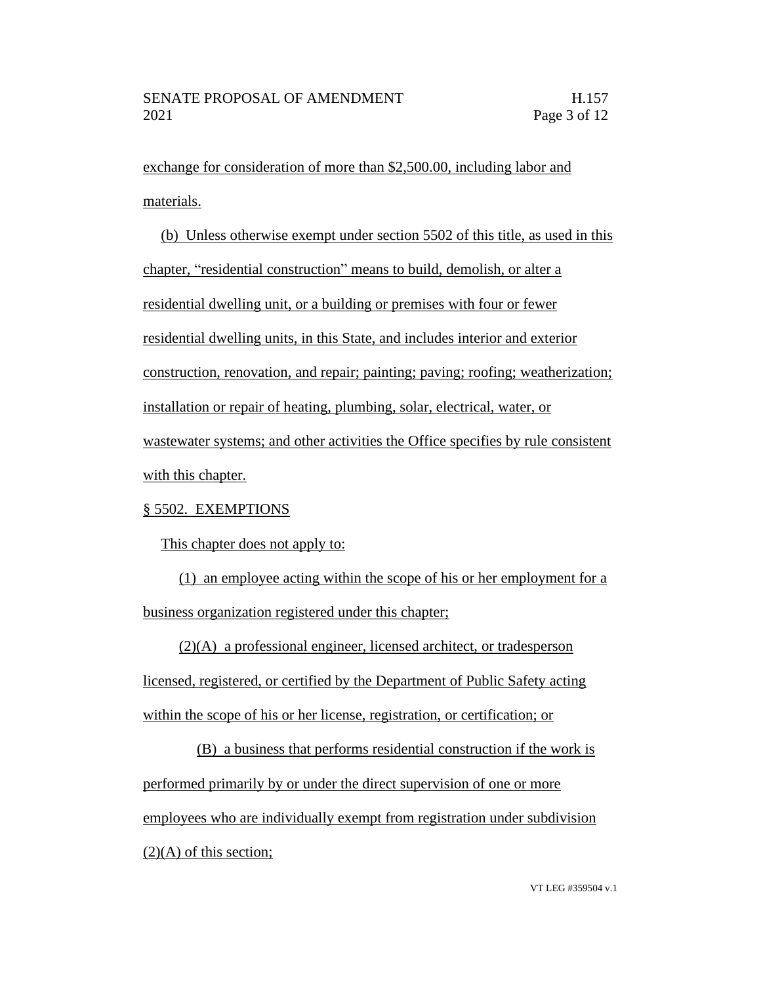exchange for consideration of more than \$2,500.00, including labor and materials.

(b) Unless otherwise exempt under section 5502 of this title, as used in this chapter, "residential construction" means to build, demolish, or alter a residential dwelling unit, or a building or premises with four or fewer residential dwelling units, in this State, and includes interior and exterior construction, renovation, and repair; painting; paving; roofing; weatherization; installation or repair of heating, plumbing, solar, electrical, water, or wastewater systems; and other activities the Office specifies by rule consistent with this chapter.

## § 5502. EXEMPTIONS

This chapter does not apply to:

(1) an employee acting within the scope of his or her employment for a business organization registered under this chapter;

(2)(A) a professional engineer, licensed architect, or tradesperson

licensed, registered, or certified by the Department of Public Safety acting within the scope of his or her license, registration, or certification; or

(B) a business that performs residential construction if the work is performed primarily by or under the direct supervision of one or more employees who are individually exempt from registration under subdivision  $(2)(A)$  of this section;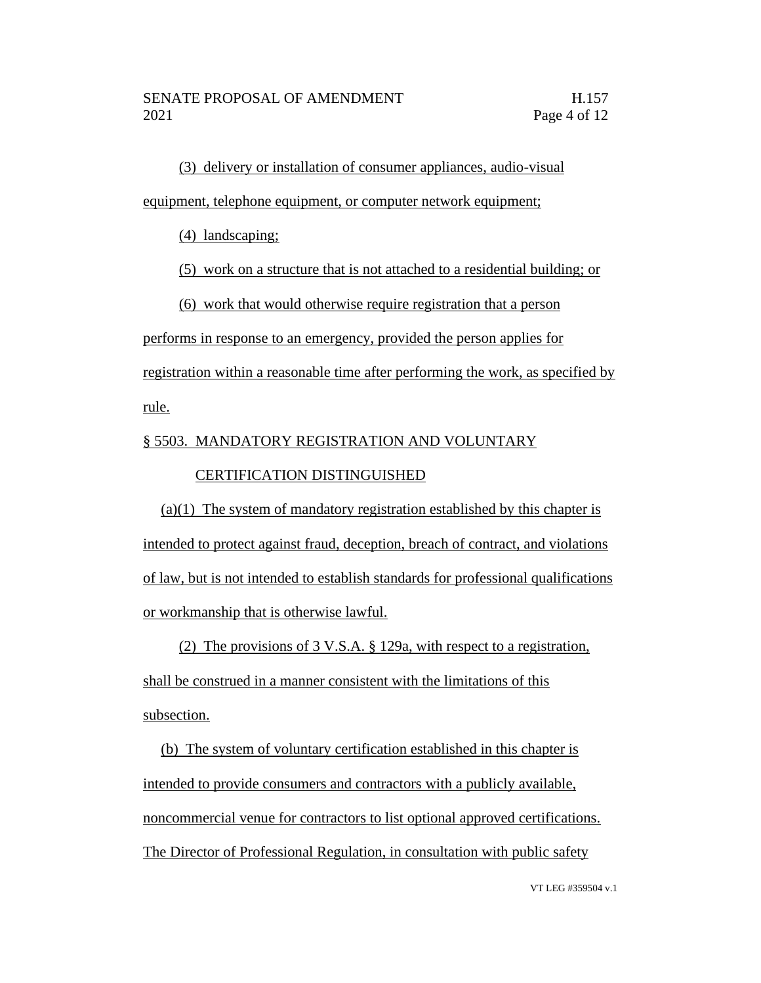(3) delivery or installation of consumer appliances, audio-visual equipment, telephone equipment, or computer network equipment;

(4) landscaping;

(5) work on a structure that is not attached to a residential building; or

(6) work that would otherwise require registration that a person

performs in response to an emergency, provided the person applies for

registration within a reasonable time after performing the work, as specified by

rule.

# § 5503. MANDATORY REGISTRATION AND VOLUNTARY

# CERTIFICATION DISTINGUISHED

(a)(1) The system of mandatory registration established by this chapter is intended to protect against fraud, deception, breach of contract, and violations of law, but is not intended to establish standards for professional qualifications or workmanship that is otherwise lawful.

(2) The provisions of 3 V.S.A. § 129a, with respect to a registration,

shall be construed in a manner consistent with the limitations of this subsection.

(b) The system of voluntary certification established in this chapter is intended to provide consumers and contractors with a publicly available, noncommercial venue for contractors to list optional approved certifications. The Director of Professional Regulation, in consultation with public safety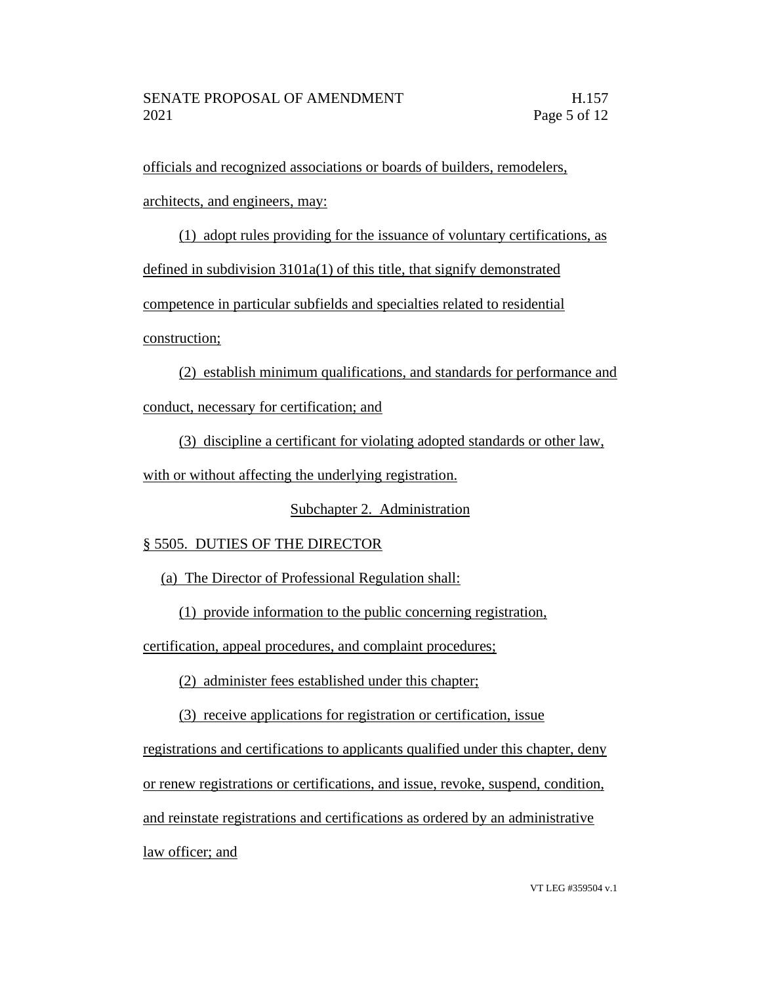officials and recognized associations or boards of builders, remodelers,

architects, and engineers, may:

(1) adopt rules providing for the issuance of voluntary certifications, as defined in subdivision 3101a(1) of this title, that signify demonstrated competence in particular subfields and specialties related to residential

construction;

(2) establish minimum qualifications, and standards for performance and conduct, necessary for certification; and

(3) discipline a certificant for violating adopted standards or other law,

with or without affecting the underlying registration.

Subchapter 2. Administration

# § 5505. DUTIES OF THE DIRECTOR

(a) The Director of Professional Regulation shall:

(1) provide information to the public concerning registration,

certification, appeal procedures, and complaint procedures;

(2) administer fees established under this chapter;

(3) receive applications for registration or certification, issue

registrations and certifications to applicants qualified under this chapter, deny or renew registrations or certifications, and issue, revoke, suspend, condition, and reinstate registrations and certifications as ordered by an administrative law officer; and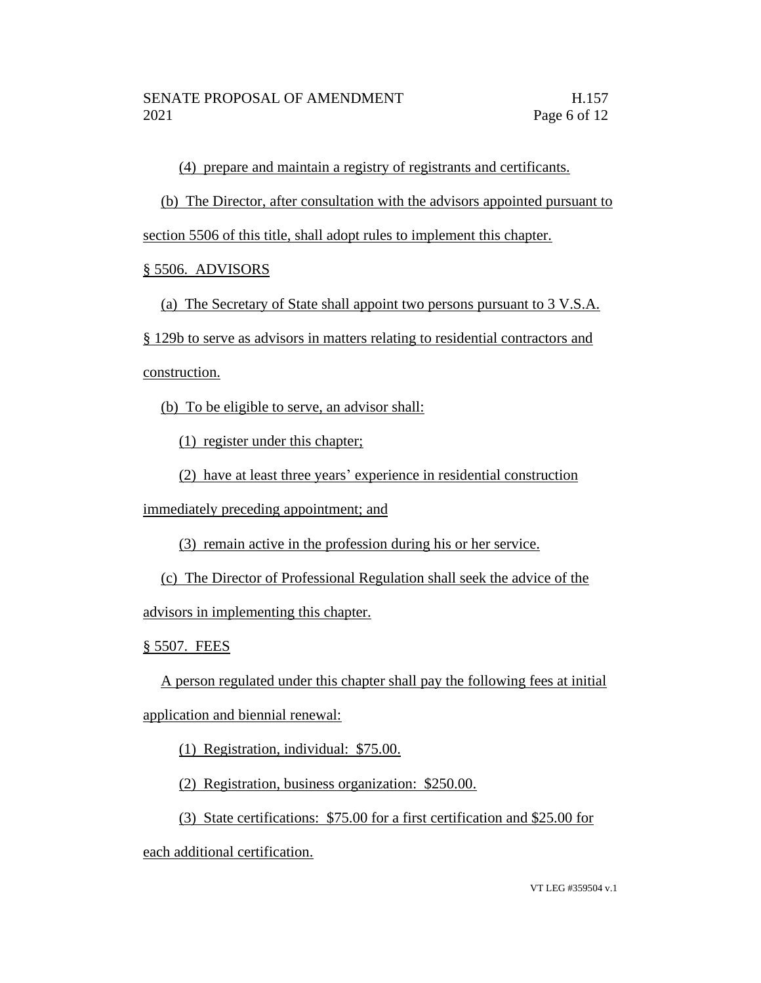(4) prepare and maintain a registry of registrants and certificants.

(b) The Director, after consultation with the advisors appointed pursuant to

section 5506 of this title, shall adopt rules to implement this chapter.

§ 5506. ADVISORS

(a) The Secretary of State shall appoint two persons pursuant to 3 V.S.A.

§ 129b to serve as advisors in matters relating to residential contractors and

construction.

(b) To be eligible to serve, an advisor shall:

(1) register under this chapter;

(2) have at least three years' experience in residential construction

immediately preceding appointment; and

(3) remain active in the profession during his or her service.

(c) The Director of Professional Regulation shall seek the advice of the

advisors in implementing this chapter.

§ 5507. FEES

A person regulated under this chapter shall pay the following fees at initial application and biennial renewal:

(1) Registration, individual: \$75.00.

(2) Registration, business organization: \$250.00.

(3) State certifications: \$75.00 for a first certification and \$25.00 for

each additional certification.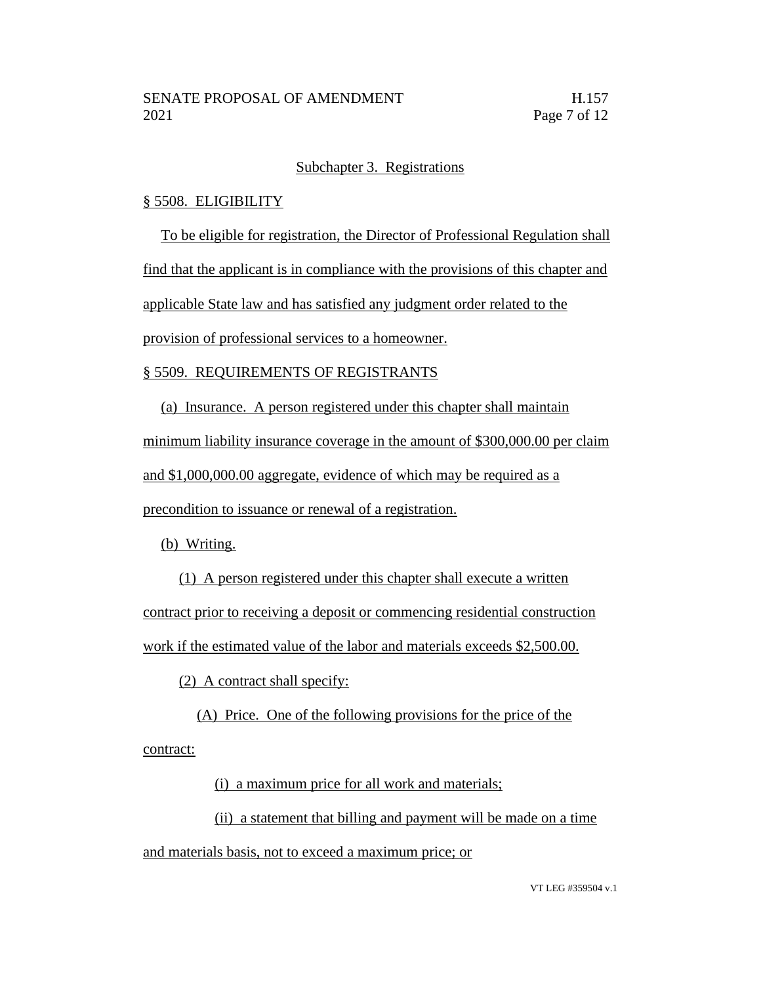### Subchapter 3. Registrations

### § 5508. ELIGIBILITY

To be eligible for registration, the Director of Professional Regulation shall

find that the applicant is in compliance with the provisions of this chapter and

applicable State law and has satisfied any judgment order related to the

provision of professional services to a homeowner.

### § 5509. REQUIREMENTS OF REGISTRANTS

(a) Insurance. A person registered under this chapter shall maintain

minimum liability insurance coverage in the amount of \$300,000.00 per claim

and \$1,000,000.00 aggregate, evidence of which may be required as a

precondition to issuance or renewal of a registration.

(b) Writing.

(1) A person registered under this chapter shall execute a written contract prior to receiving a deposit or commencing residential construction work if the estimated value of the labor and materials exceeds \$2,500.00.

(2) A contract shall specify:

(A) Price. One of the following provisions for the price of the contract:

(i) a maximum price for all work and materials;

(ii) a statement that billing and payment will be made on a time and materials basis, not to exceed a maximum price; or

VT LEG #359504 v.1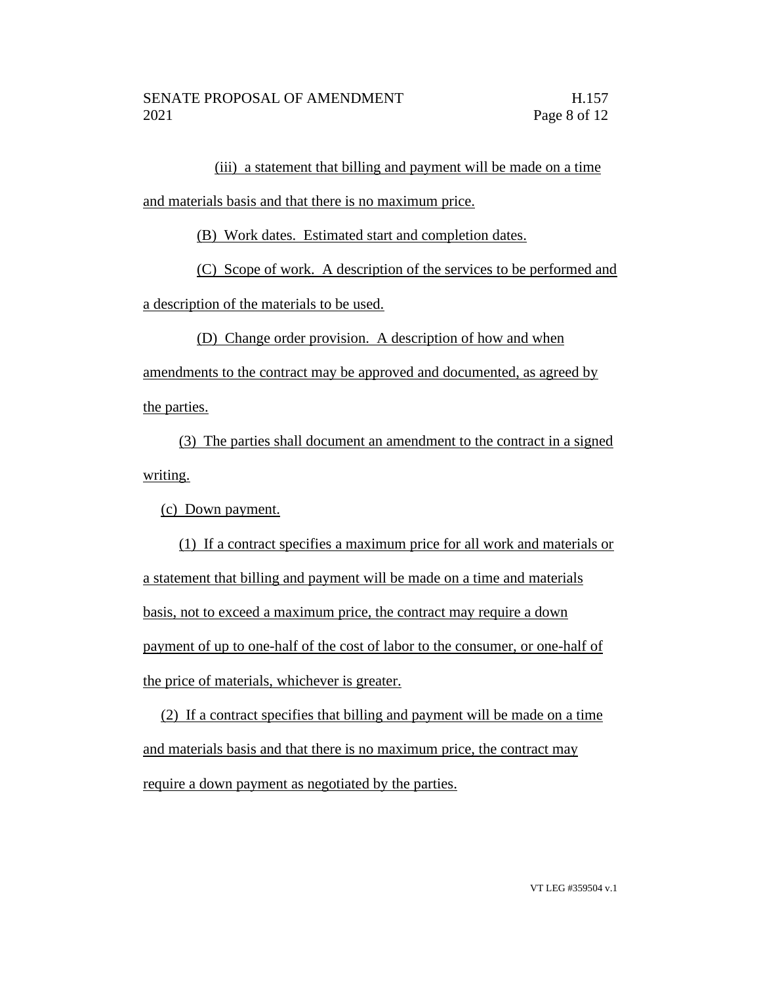(iii) a statement that billing and payment will be made on a time

and materials basis and that there is no maximum price.

(B) Work dates. Estimated start and completion dates.

(C) Scope of work. A description of the services to be performed and

a description of the materials to be used.

(D) Change order provision. A description of how and when

amendments to the contract may be approved and documented, as agreed by the parties.

(3) The parties shall document an amendment to the contract in a signed writing.

(c) Down payment.

(1) If a contract specifies a maximum price for all work and materials or a statement that billing and payment will be made on a time and materials basis, not to exceed a maximum price, the contract may require a down payment of up to one-half of the cost of labor to the consumer, or one-half of the price of materials, whichever is greater.

(2) If a contract specifies that billing and payment will be made on a time and materials basis and that there is no maximum price, the contract may require a down payment as negotiated by the parties.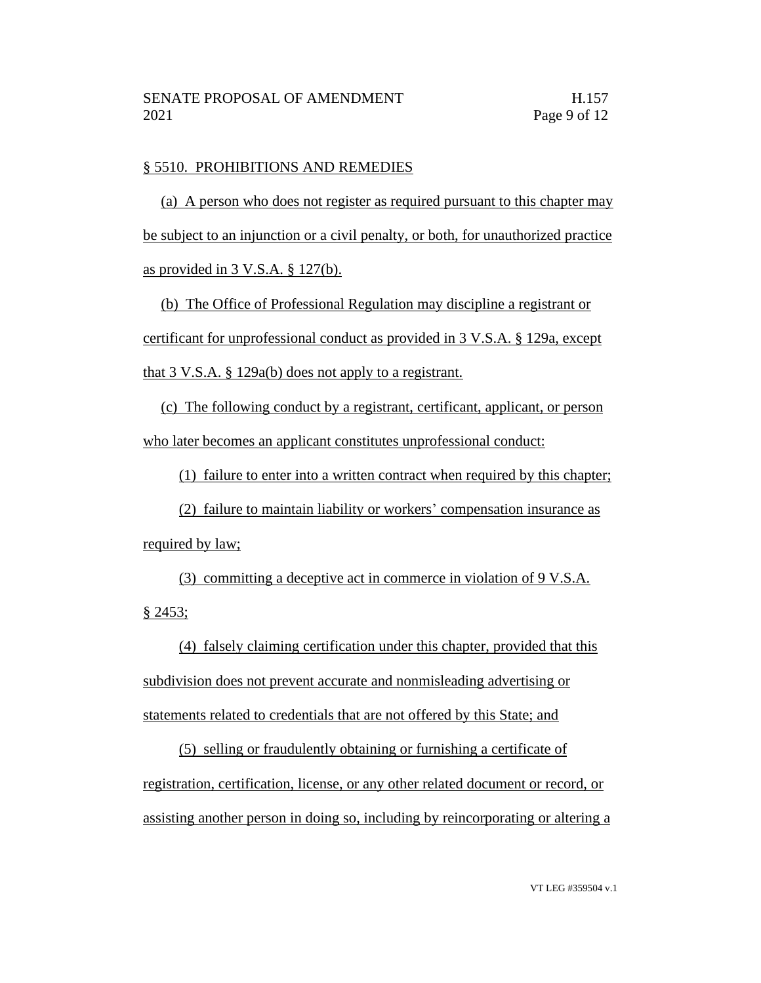### § 5510. PROHIBITIONS AND REMEDIES

(a) A person who does not register as required pursuant to this chapter may be subject to an injunction or a civil penalty, or both, for unauthorized practice as provided in 3 V.S.A. § 127(b).

(b) The Office of Professional Regulation may discipline a registrant or certificant for unprofessional conduct as provided in 3 V.S.A. § 129a, except that 3 V.S.A. § 129a(b) does not apply to a registrant.

(c) The following conduct by a registrant, certificant, applicant, or person who later becomes an applicant constitutes unprofessional conduct:

(1) failure to enter into a written contract when required by this chapter;

(2) failure to maintain liability or workers' compensation insurance as required by law;

(3) committing a deceptive act in commerce in violation of 9 V.S.A. § 2453;

(4) falsely claiming certification under this chapter, provided that this subdivision does not prevent accurate and nonmisleading advertising or statements related to credentials that are not offered by this State; and

(5) selling or fraudulently obtaining or furnishing a certificate of registration, certification, license, or any other related document or record, or assisting another person in doing so, including by reincorporating or altering a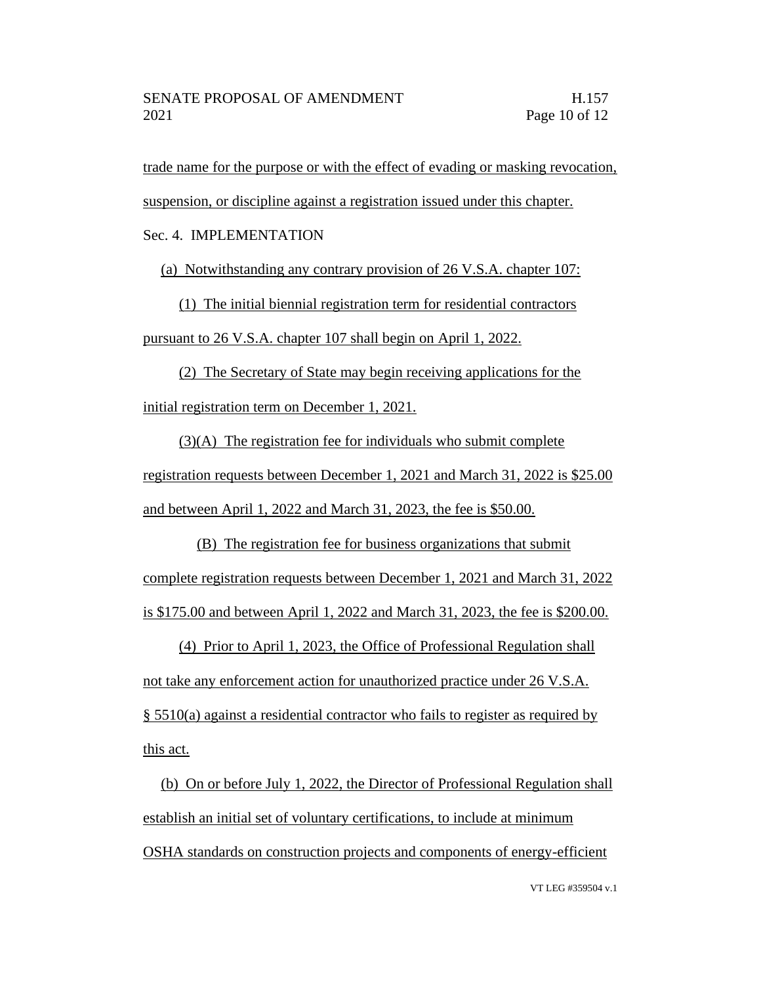trade name for the purpose or with the effect of evading or masking revocation,

suspension, or discipline against a registration issued under this chapter.

Sec. 4. IMPLEMENTATION

(a) Notwithstanding any contrary provision of 26 V.S.A. chapter 107:

(1) The initial biennial registration term for residential contractors pursuant to 26 V.S.A. chapter 107 shall begin on April 1, 2022.

(2) The Secretary of State may begin receiving applications for the initial registration term on December 1, 2021.

(3)(A) The registration fee for individuals who submit complete registration requests between December 1, 2021 and March 31, 2022 is \$25.00 and between April 1, 2022 and March 31, 2023, the fee is \$50.00.

(B) The registration fee for business organizations that submit complete registration requests between December 1, 2021 and March 31, 2022 is \$175.00 and between April 1, 2022 and March 31, 2023, the fee is \$200.00.

(4) Prior to April 1, 2023, the Office of Professional Regulation shall not take any enforcement action for unauthorized practice under 26 V.S.A. § 5510(a) against a residential contractor who fails to register as required by this act.

(b) On or before July 1, 2022, the Director of Professional Regulation shall establish an initial set of voluntary certifications, to include at minimum OSHA standards on construction projects and components of energy-efficient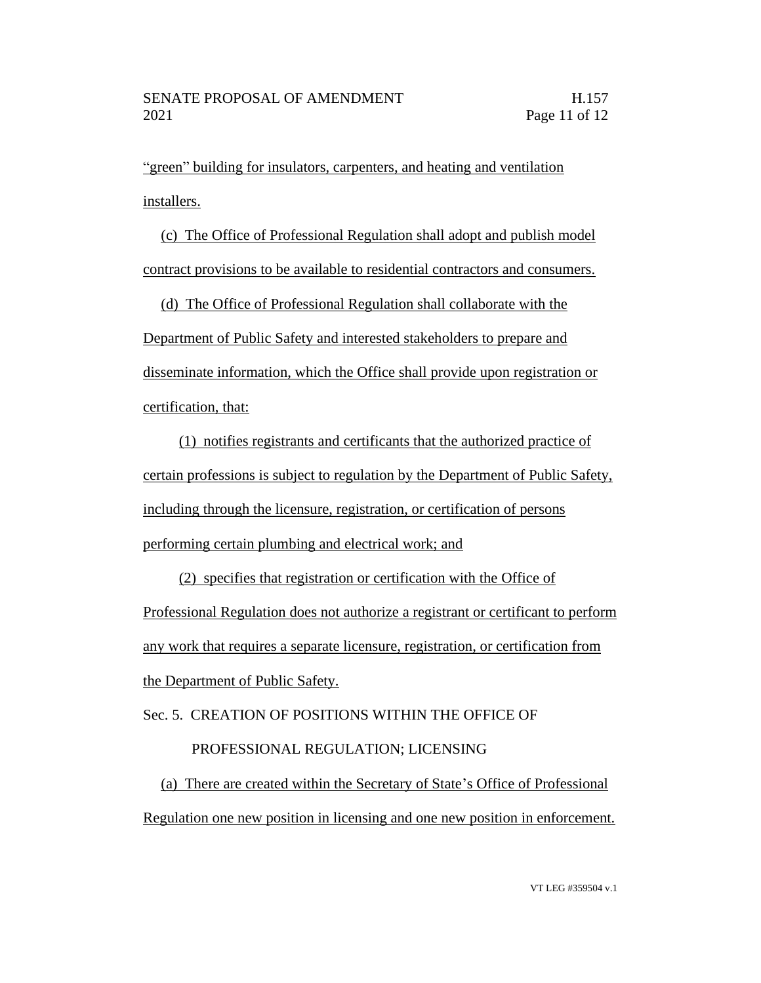"green" building for insulators, carpenters, and heating and ventilation installers.

(c) The Office of Professional Regulation shall adopt and publish model contract provisions to be available to residential contractors and consumers.

(d) The Office of Professional Regulation shall collaborate with the Department of Public Safety and interested stakeholders to prepare and disseminate information, which the Office shall provide upon registration or certification, that:

(1) notifies registrants and certificants that the authorized practice of certain professions is subject to regulation by the Department of Public Safety, including through the licensure, registration, or certification of persons performing certain plumbing and electrical work; and

(2) specifies that registration or certification with the Office of Professional Regulation does not authorize a registrant or certificant to perform any work that requires a separate licensure, registration, or certification from the Department of Public Safety.

Sec. 5. CREATION OF POSITIONS WITHIN THE OFFICE OF

# PROFESSIONAL REGULATION; LICENSING

(a) There are created within the Secretary of State's Office of Professional Regulation one new position in licensing and one new position in enforcement.